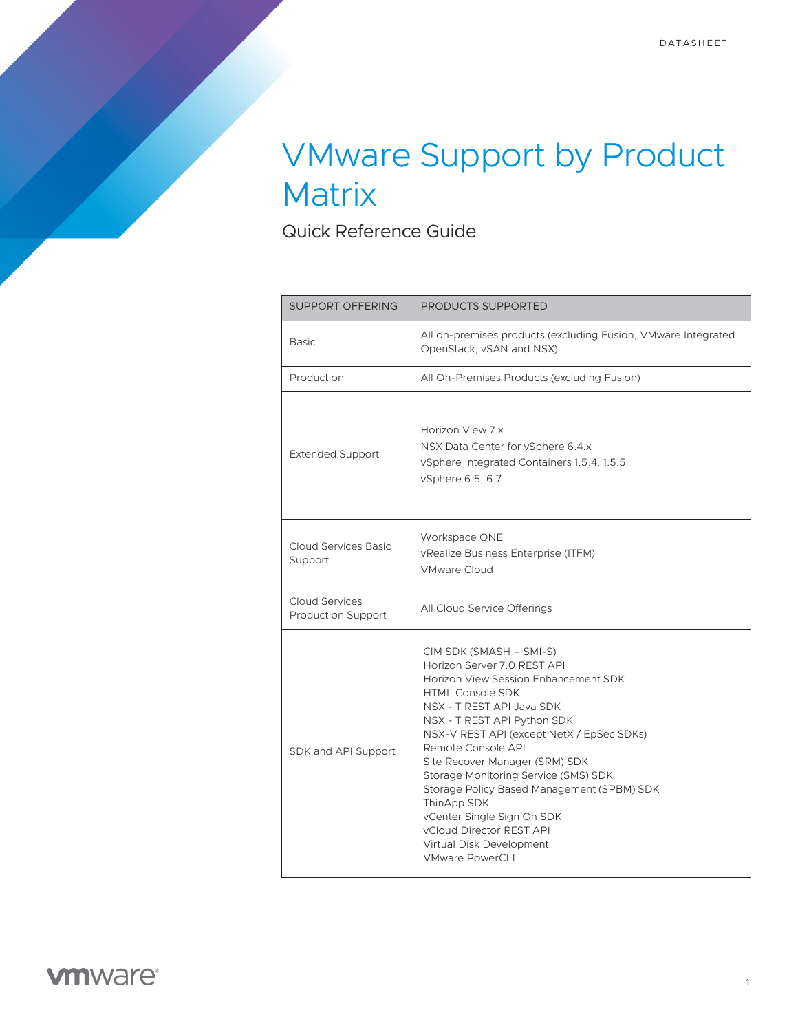## VMware Support by Product **Matrix**

Quick Reference Guide

| <b>SUPPORT OFFERING</b>                            | <b>PRODUCTS SUPPORTED</b>                                                                                                                                                                                                                                                                                                                                                                                                                                                                                       |
|----------------------------------------------------|-----------------------------------------------------------------------------------------------------------------------------------------------------------------------------------------------------------------------------------------------------------------------------------------------------------------------------------------------------------------------------------------------------------------------------------------------------------------------------------------------------------------|
| <b>Basic</b>                                       | All on-premises products (excluding Fusion, VMware Integrated<br>OpenStack, vSAN and NSX)                                                                                                                                                                                                                                                                                                                                                                                                                       |
| Production                                         | All On-Premises Products (excluding Fusion)                                                                                                                                                                                                                                                                                                                                                                                                                                                                     |
| <b>Extended Support</b>                            | Horizon View 7.x<br>NSX Data Center for vSphere 6.4.x<br>vSphere Integrated Containers 1.5.4, 1.5.5<br>vSphere 6.5, 6.7                                                                                                                                                                                                                                                                                                                                                                                         |
| Cloud Services Basic<br>Support                    | Workspace ONE<br>vRealize Business Enterprise (ITFM)<br><b>VMware Cloud</b>                                                                                                                                                                                                                                                                                                                                                                                                                                     |
| <b>Cloud Services</b><br><b>Production Support</b> | All Cloud Service Offerings                                                                                                                                                                                                                                                                                                                                                                                                                                                                                     |
| SDK and API Support                                | CIM SDK (SMASH – SMI-S)<br>Horizon Server 7.0 REST API<br>Horizon View Session Enhancement SDK<br><b>HTML Console SDK</b><br>NSX - T REST API Java SDK<br>NSX - T REST API Python SDK<br>NSX-V REST API (except NetX / EpSec SDKs)<br>Remote Console API<br>Site Recover Manager (SRM) SDK<br>Storage Monitoring Service (SMS) SDK<br>Storage Policy Based Management (SPBM) SDK<br>ThinApp SDK<br>vCenter Single Sign On SDK<br>vCloud Director REST API<br>Virtual Disk Development<br><b>VMware PowerCLI</b> |

## **vmware®**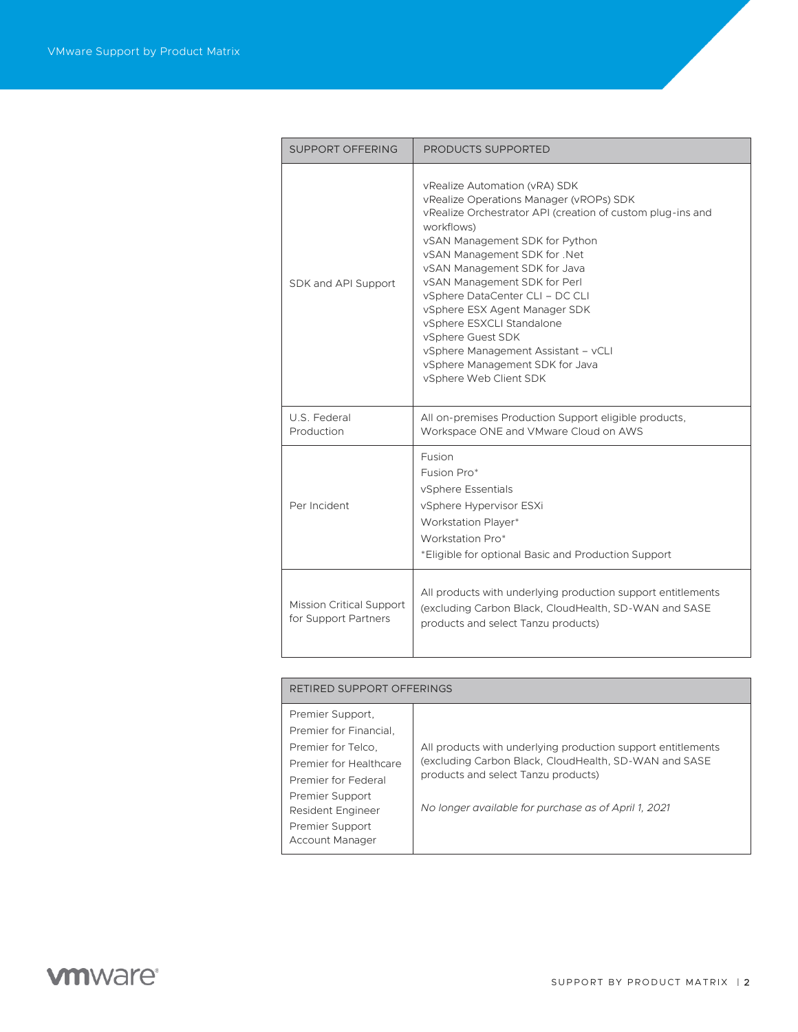| SUPPORT OFFERING                                        | PRODUCTS SUPPORTED                                                                                                                                                                                                                                                                                                                                                                                                                                                                                               |
|---------------------------------------------------------|------------------------------------------------------------------------------------------------------------------------------------------------------------------------------------------------------------------------------------------------------------------------------------------------------------------------------------------------------------------------------------------------------------------------------------------------------------------------------------------------------------------|
| SDK and API Support                                     | vRealize Automation (vRA) SDK<br>vRealize Operations Manager (vROPs) SDK<br>vRealize Orchestrator API (creation of custom plug-ins and<br>workflows)<br>vSAN Management SDK for Python<br>vSAN Management SDK for .Net<br>vSAN Management SDK for Java<br>vSAN Management SDK for Perl<br>vSphere DataCenter CLI - DC CLI<br>vSphere ESX Agent Manager SDK<br>vSphere ESXCLI Standalone<br>vSphere Guest SDK<br>vSphere Management Assistant - vCLI<br>vSphere Management SDK for Java<br>vSphere Web Client SDK |
| U.S. Federal<br>Production                              | All on-premises Production Support eligible products,<br>Workspace ONE and VMware Cloud on AWS                                                                                                                                                                                                                                                                                                                                                                                                                   |
| Per Incident                                            | Fusion<br>Fusion Pro*<br>vSphere Essentials<br>vSphere Hypervisor ESXi<br>Workstation Player*<br>Workstation Pro*<br>*Eligible for optional Basic and Production Support                                                                                                                                                                                                                                                                                                                                         |
| <b>Mission Critical Support</b><br>for Support Partners | All products with underlying production support entitlements<br>(excluding Carbon Black, CloudHealth, SD-WAN and SASE<br>products and select Tanzu products)                                                                                                                                                                                                                                                                                                                                                     |

| RETIRED SUPPORT OFFERINGS                                                                                                                                                                              |                                                                                                                                                                                                                      |  |
|--------------------------------------------------------------------------------------------------------------------------------------------------------------------------------------------------------|----------------------------------------------------------------------------------------------------------------------------------------------------------------------------------------------------------------------|--|
| Premier Support,<br>Premier for Financial.<br>Premier for Telco.<br>Premier for Healthcare<br>Premier for Federal<br>Premier Support<br><b>Resident Engineer</b><br>Premier Support<br>Account Manager | All products with underlying production support entitlements<br>(excluding Carbon Black, CloudHealth, SD-WAN and SASE<br>products and select Tanzu products)<br>No longer available for purchase as of April 1, 2021 |  |

## **vmware**<sup>®</sup>